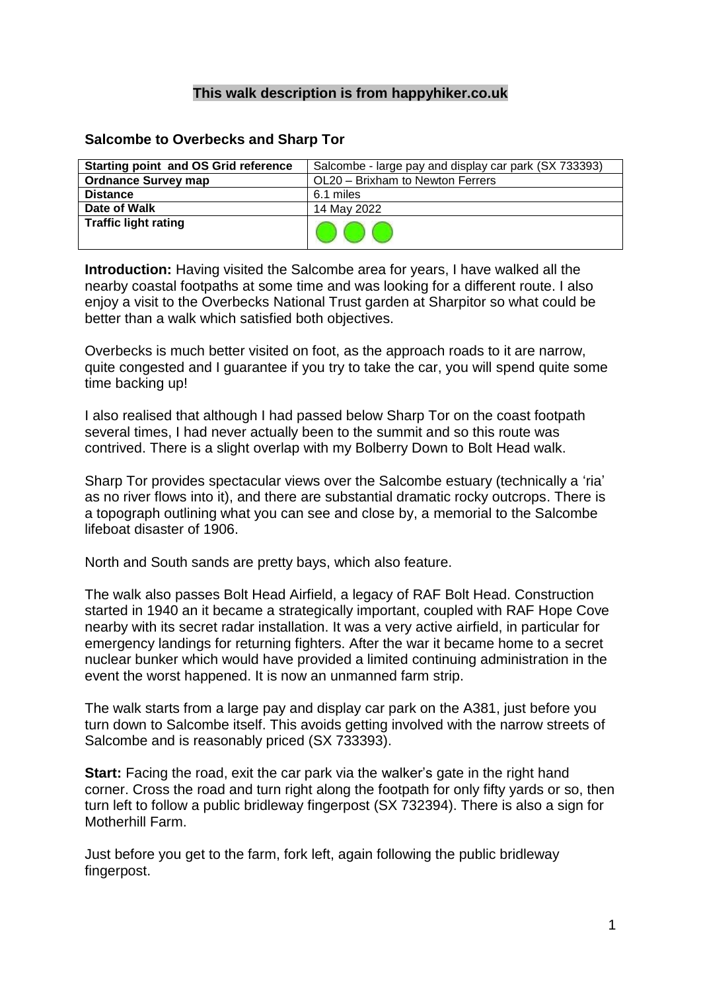## **This walk description is from happyhiker.co.uk**

## **Salcombe to Overbecks and Sharp Tor**

| <b>Starting point and OS Grid reference</b> | Salcombe - large pay and display car park (SX 733393) |
|---------------------------------------------|-------------------------------------------------------|
| <b>Ordnance Survey map</b>                  | OL20 - Brixham to Newton Ferrers                      |
| <b>Distance</b>                             | 6.1 miles                                             |
| Date of Walk                                | 14 May 2022                                           |
| <b>Traffic light rating</b>                 |                                                       |

**Introduction:** Having visited the Salcombe area for years, I have walked all the nearby coastal footpaths at some time and was looking for a different route. I also enjoy a visit to the Overbecks National Trust garden at Sharpitor so what could be better than a walk which satisfied both objectives.

Overbecks is much better visited on foot, as the approach roads to it are narrow, quite congested and I guarantee if you try to take the car, you will spend quite some time backing up!

I also realised that although I had passed below Sharp Tor on the coast footpath several times, I had never actually been to the summit and so this route was contrived. There is a slight overlap with my Bolberry Down to Bolt Head walk.

Sharp Tor provides spectacular views over the Salcombe estuary (technically a 'ria' as no river flows into it), and there are substantial dramatic rocky outcrops. There is a topograph outlining what you can see and close by, a memorial to the Salcombe lifeboat disaster of 1906.

North and South sands are pretty bays, which also feature.

The walk also passes Bolt Head Airfield, a legacy of RAF Bolt Head. Construction started in 1940 an it became a strategically important, coupled with RAF Hope Cove nearby with its secret radar installation. It was a very active airfield, in particular for emergency landings for returning fighters. After the war it became home to a secret nuclear bunker which would have provided a limited continuing administration in the event the worst happened. It is now an unmanned farm strip.

The walk starts from a large pay and display car park on the A381, just before you turn down to Salcombe itself. This avoids getting involved with the narrow streets of Salcombe and is reasonably priced (SX 733393).

**Start:** Facing the road, exit the car park via the walker's gate in the right hand corner. Cross the road and turn right along the footpath for only fifty yards or so, then turn left to follow a public bridleway fingerpost (SX 732394). There is also a sign for Motherhill Farm.

Just before you get to the farm, fork left, again following the public bridleway fingerpost.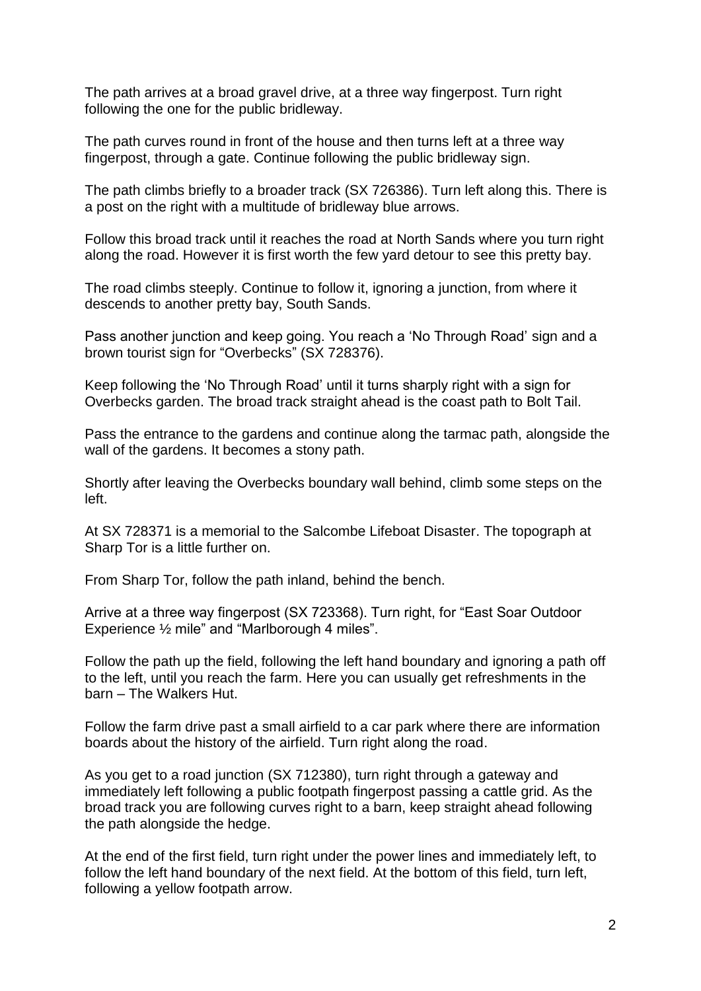The path arrives at a broad gravel drive, at a three way fingerpost. Turn right following the one for the public bridleway.

The path curves round in front of the house and then turns left at a three way fingerpost, through a gate. Continue following the public bridleway sign.

The path climbs briefly to a broader track (SX 726386). Turn left along this. There is a post on the right with a multitude of bridleway blue arrows.

Follow this broad track until it reaches the road at North Sands where you turn right along the road. However it is first worth the few yard detour to see this pretty bay.

The road climbs steeply. Continue to follow it, ignoring a junction, from where it descends to another pretty bay, South Sands.

Pass another junction and keep going. You reach a 'No Through Road' sign and a brown tourist sign for "Overbecks" (SX 728376).

Keep following the 'No Through Road' until it turns sharply right with a sign for Overbecks garden. The broad track straight ahead is the coast path to Bolt Tail.

Pass the entrance to the gardens and continue along the tarmac path, alongside the wall of the gardens. It becomes a stony path.

Shortly after leaving the Overbecks boundary wall behind, climb some steps on the left.

At SX 728371 is a memorial to the Salcombe Lifeboat Disaster. The topograph at Sharp Tor is a little further on.

From Sharp Tor, follow the path inland, behind the bench.

Arrive at a three way fingerpost (SX 723368). Turn right, for "East Soar Outdoor Experience ½ mile" and "Marlborough 4 miles".

Follow the path up the field, following the left hand boundary and ignoring a path off to the left, until you reach the farm. Here you can usually get refreshments in the barn – The Walkers Hut.

Follow the farm drive past a small airfield to a car park where there are information boards about the history of the airfield. Turn right along the road.

As you get to a road junction (SX 712380), turn right through a gateway and immediately left following a public footpath fingerpost passing a cattle grid. As the broad track you are following curves right to a barn, keep straight ahead following the path alongside the hedge.

At the end of the first field, turn right under the power lines and immediately left, to follow the left hand boundary of the next field. At the bottom of this field, turn left, following a yellow footpath arrow.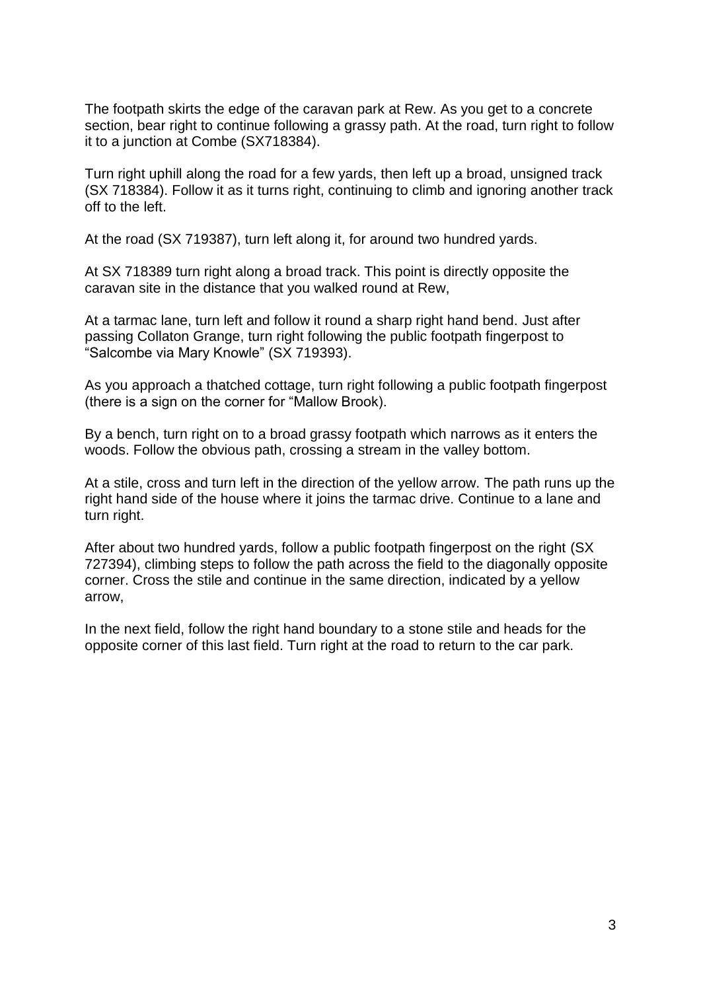The footpath skirts the edge of the caravan park at Rew. As you get to a concrete section, bear right to continue following a grassy path. At the road, turn right to follow it to a junction at Combe (SX718384).

Turn right uphill along the road for a few yards, then left up a broad, unsigned track (SX 718384). Follow it as it turns right, continuing to climb and ignoring another track off to the left.

At the road (SX 719387), turn left along it, for around two hundred yards.

At SX 718389 turn right along a broad track. This point is directly opposite the caravan site in the distance that you walked round at Rew,

At a tarmac lane, turn left and follow it round a sharp right hand bend. Just after passing Collaton Grange, turn right following the public footpath fingerpost to "Salcombe via Mary Knowle" (SX 719393).

As you approach a thatched cottage, turn right following a public footpath fingerpost (there is a sign on the corner for "Mallow Brook).

By a bench, turn right on to a broad grassy footpath which narrows as it enters the woods. Follow the obvious path, crossing a stream in the valley bottom.

At a stile, cross and turn left in the direction of the yellow arrow. The path runs up the right hand side of the house where it joins the tarmac drive. Continue to a lane and turn right.

After about two hundred yards, follow a public footpath fingerpost on the right (SX 727394), climbing steps to follow the path across the field to the diagonally opposite corner. Cross the stile and continue in the same direction, indicated by a yellow arrow,

In the next field, follow the right hand boundary to a stone stile and heads for the opposite corner of this last field. Turn right at the road to return to the car park.